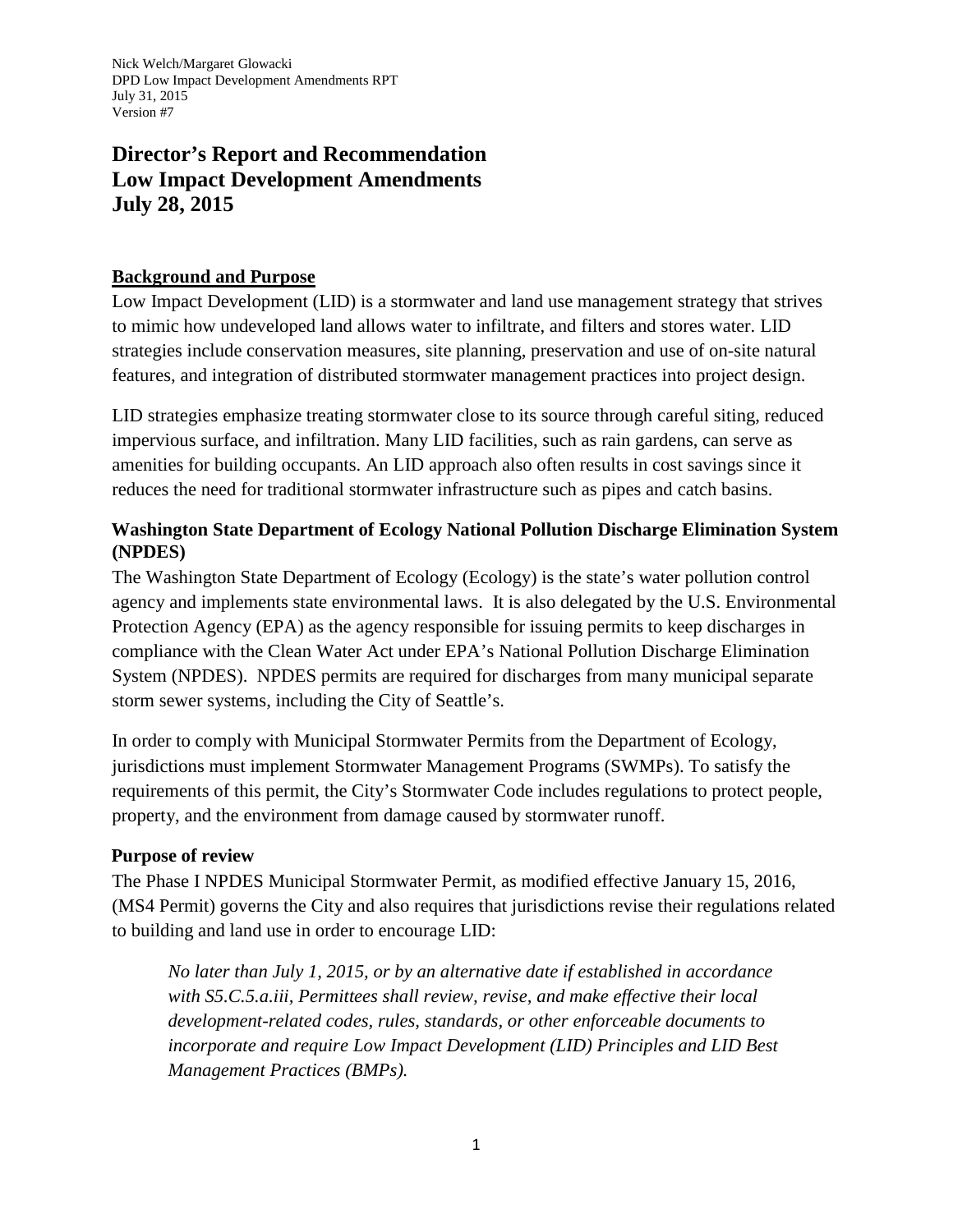# **Director's Report and Recommendation Low Impact Development Amendments July 28, 2015**

#### **Background and Purpose**

Low Impact Development (LID) is a stormwater and land use management strategy that strives to mimic how undeveloped land allows water to infiltrate, and filters and stores water. LID strategies include conservation measures, site planning, preservation and use of on-site natural features, and integration of distributed stormwater management practices into project design.

LID strategies emphasize treating stormwater close to its source through careful siting, reduced impervious surface, and infiltration. Many LID facilities, such as rain gardens, can serve as amenities for building occupants. An LID approach also often results in cost savings since it reduces the need for traditional stormwater infrastructure such as pipes and catch basins.

### **Washington State Department of Ecology National Pollution Discharge Elimination System (NPDES)**

The Washington State Department of Ecology (Ecology) is the state's water pollution control agency and implements state environmental laws. It is also delegated by the U.S. Environmental Protection Agency (EPA) as the agency responsible for issuing permits to keep discharges in compliance with the Clean Water Act under EPA's National Pollution Discharge Elimination System (NPDES). NPDES permits are required for discharges from many municipal separate storm sewer systems, including the City of Seattle's.

In order to comply with Municipal Stormwater Permits from the Department of Ecology, jurisdictions must implement Stormwater Management Programs (SWMPs). To satisfy the requirements of this permit, the City's Stormwater Code includes regulations to protect people, property, and the environment from damage caused by stormwater runoff.

#### **Purpose of review**

The Phase I NPDES Municipal Stormwater Permit, as modified effective January 15, 2016, (MS4 Permit) governs the City and also requires that jurisdictions revise their regulations related to building and land use in order to encourage LID:

*No later than July 1, 2015, or by an alternative date if established in accordance with S5.C.5.a.iii, Permittees shall review, revise, and make effective their local development-related codes, rules, standards, or other enforceable documents to incorporate and require Low Impact Development (LID) Principles and LID Best Management Practices (BMPs).*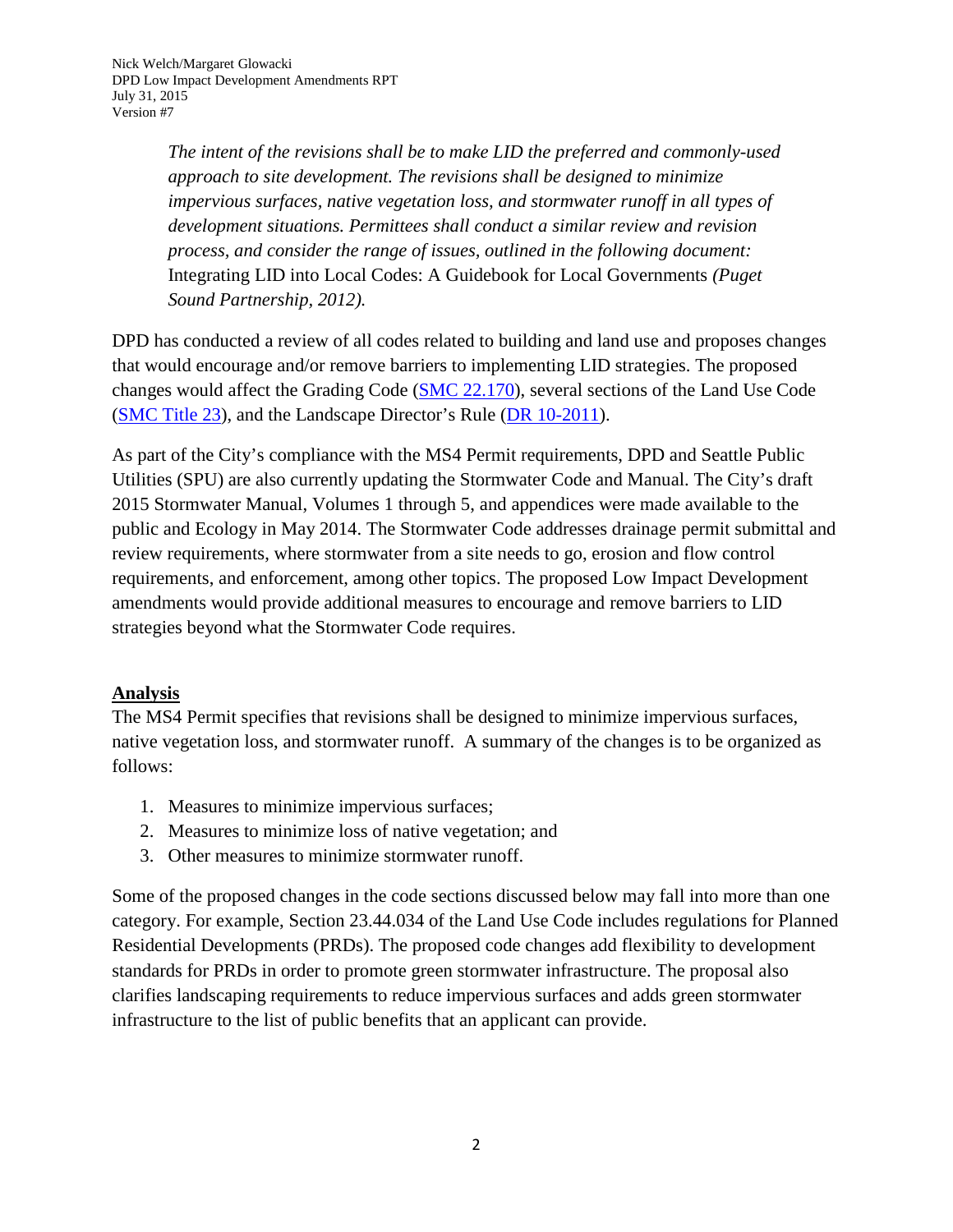*The intent of the revisions shall be to make LID the preferred and commonly-used approach to site development. The revisions shall be designed to minimize impervious surfaces, native vegetation loss, and stormwater runoff in all types of development situations. Permittees shall conduct a similar review and revision process, and consider the range of issues, outlined in the following document:*  Integrating LID into Local Codes: A Guidebook for Local Governments *(Puget Sound Partnership, 2012).*

DPD has conducted a review of all codes related to building and land use and proposes changes that would encourage and/or remove barriers to implementing LID strategies. The proposed changes would affect the Grading Code [\(SMC 22.170\)](https://www.municode.com/library/wa/seattle/codes/municipal_code?nodeId=TIT22BUCOCO_SUBTITLE_IBGRCO_CH22.170GRCO), several sections of the Land Use Code [\(SMC Title 23\)](https://www.municode.com/library/wa/seattle/codes/municipal_code?nodeId=TIT23LAUSCO_SUBTITLE_IIILAUSRE_DIV2AUUSDEST_CH23.42GEUSPR_23.42.112NODEST), and the Landscape Director's Rule [\(DR 10-2011\)](http://www.seattle.gov/dpd/codes/dr/DR2011-10.pdf).

As part of the City's compliance with the MS4 Permit requirements, DPD and Seattle Public Utilities (SPU) are also currently updating the Stormwater Code and Manual. The City's draft 2015 Stormwater Manual, Volumes 1 through 5, and appendices were made available to the public and Ecology in May 2014. The Stormwater Code addresses drainage permit submittal and review requirements, where stormwater from a site needs to go, erosion and flow control requirements, and enforcement, among other topics. The proposed Low Impact Development amendments would provide additional measures to encourage and remove barriers to LID strategies beyond what the Stormwater Code requires.

# **Analysis**

The MS4 Permit specifies that revisions shall be designed to minimize impervious surfaces, native vegetation loss, and stormwater runoff. A summary of the changes is to be organized as follows:

- 1. Measures to minimize impervious surfaces;
- 2. Measures to minimize loss of native vegetation; and
- 3. Other measures to minimize stormwater runoff.

Some of the proposed changes in the code sections discussed below may fall into more than one category. For example, Section 23.44.034 of the Land Use Code includes regulations for Planned Residential Developments (PRDs). The proposed code changes add flexibility to development standards for PRDs in order to promote green stormwater infrastructure. The proposal also clarifies landscaping requirements to reduce impervious surfaces and adds green stormwater infrastructure to the list of public benefits that an applicant can provide.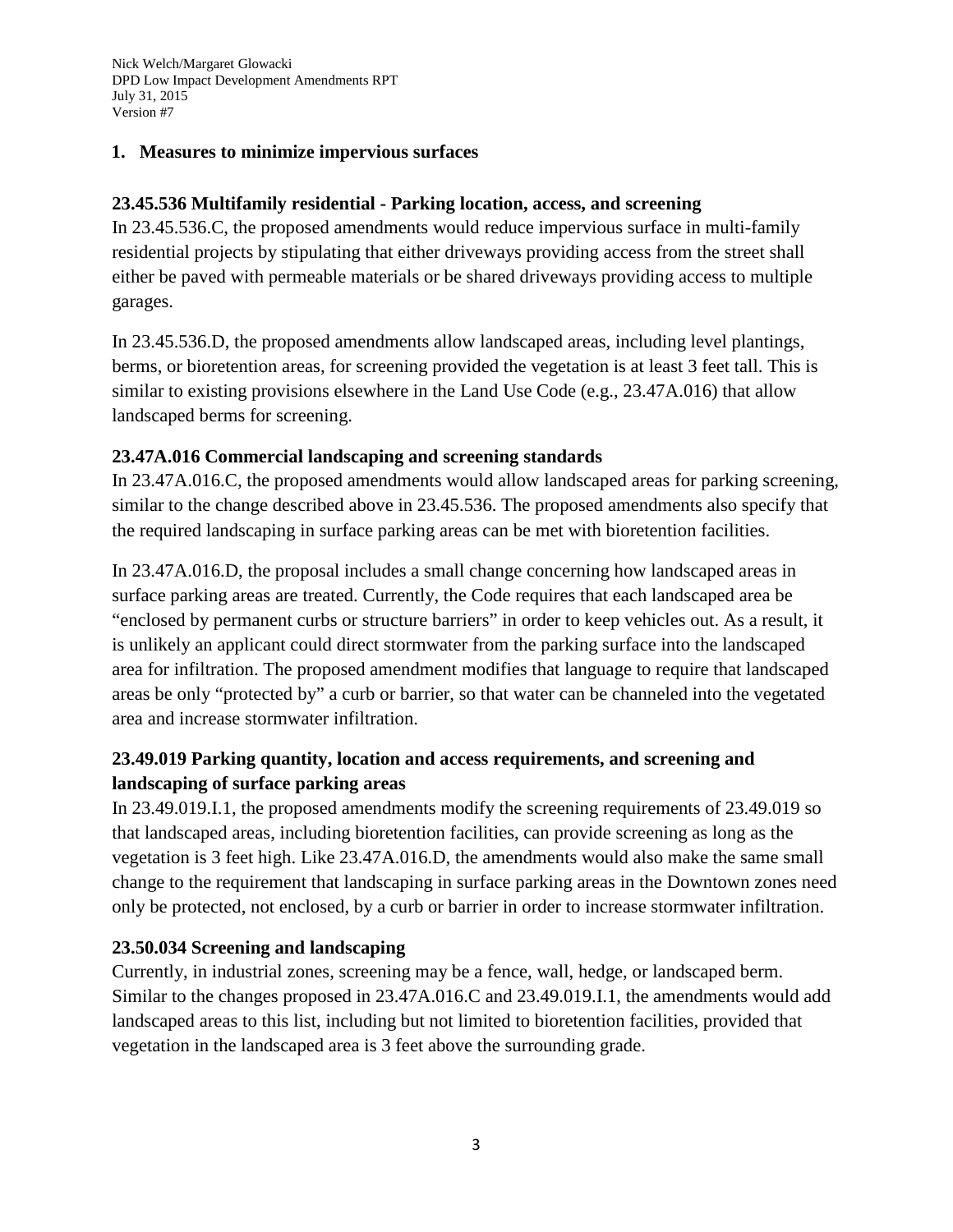#### **1. Measures to minimize impervious surfaces**

#### **23.45.536 Multifamily residential - Parking location, access, and screening**

In 23.45.536.C, the proposed amendments would reduce impervious surface in multi-family residential projects by stipulating that either driveways providing access from the street shall either be paved with permeable materials or be shared driveways providing access to multiple garages.

In 23.45.536.D, the proposed amendments allow landscaped areas, including level plantings, berms, or bioretention areas, for screening provided the vegetation is at least 3 feet tall. This is similar to existing provisions elsewhere in the Land Use Code (e.g., 23.47A.016) that allow landscaped berms for screening.

#### **23.47A.016 Commercial landscaping and screening standards**

In 23.47A.016.C, the proposed amendments would allow landscaped areas for parking screening, similar to the change described above in 23.45.536. The proposed amendments also specify that the required landscaping in surface parking areas can be met with bioretention facilities.

In 23.47A.016.D, the proposal includes a small change concerning how landscaped areas in surface parking areas are treated. Currently, the Code requires that each landscaped area be "enclosed by permanent curbs or structure barriers" in order to keep vehicles out. As a result, it is unlikely an applicant could direct stormwater from the parking surface into the landscaped area for infiltration. The proposed amendment modifies that language to require that landscaped areas be only "protected by" a curb or barrier, so that water can be channeled into the vegetated area and increase stormwater infiltration.

# **23.49.019 Parking quantity, location and access requirements, and screening and landscaping of surface parking areas**

In 23.49.019.I.1, the proposed amendments modify the screening requirements of 23.49.019 so that landscaped areas, including bioretention facilities, can provide screening as long as the vegetation is 3 feet high. Like 23.47A.016.D, the amendments would also make the same small change to the requirement that landscaping in surface parking areas in the Downtown zones need only be protected, not enclosed, by a curb or barrier in order to increase stormwater infiltration.

#### **23.50.034 Screening and landscaping**

Currently, in industrial zones, screening may be a fence, wall, hedge, or landscaped berm. Similar to the changes proposed in 23.47A.016.C and 23.49.019.I.1, the amendments would add landscaped areas to this list, including but not limited to bioretention facilities, provided that vegetation in the landscaped area is 3 feet above the surrounding grade.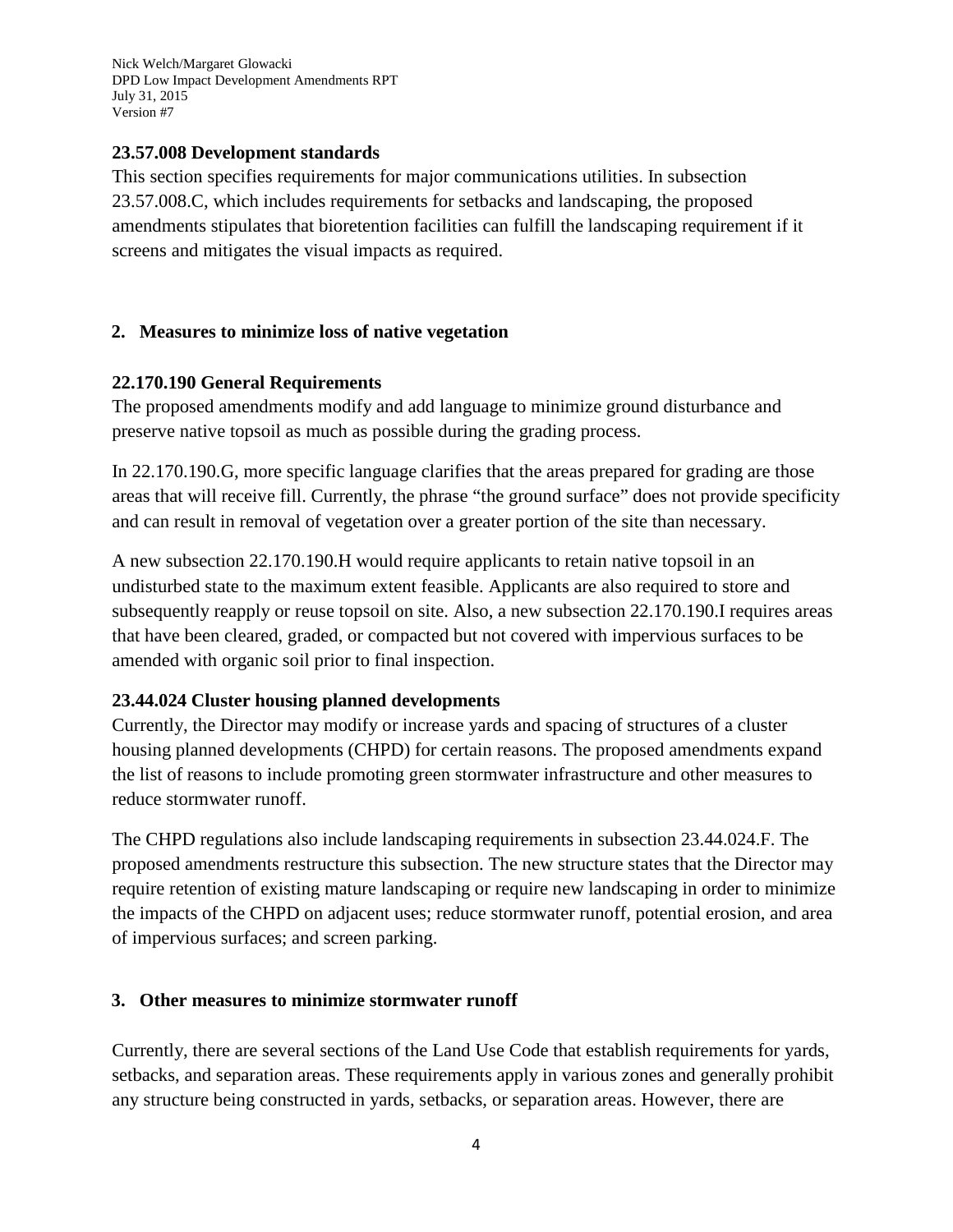#### **23.57.008 Development standards**

This section specifies requirements for major communications utilities. In subsection 23.57.008.C, which includes requirements for setbacks and landscaping, the proposed amendments stipulates that bioretention facilities can fulfill the landscaping requirement if it screens and mitigates the visual impacts as required.

#### **2. Measures to minimize loss of native vegetation**

#### **22.170.190 General Requirements**

The proposed amendments modify and add language to minimize ground disturbance and preserve native topsoil as much as possible during the grading process.

In 22.170.190.G, more specific language clarifies that the areas prepared for grading are those areas that will receive fill. Currently, the phrase "the ground surface" does not provide specificity and can result in removal of vegetation over a greater portion of the site than necessary.

A new subsection 22.170.190.H would require applicants to retain native topsoil in an undisturbed state to the maximum extent feasible. Applicants are also required to store and subsequently reapply or reuse topsoil on site. Also, a new subsection 22.170.190.I requires areas that have been cleared, graded, or compacted but not covered with impervious surfaces to be amended with organic soil prior to final inspection.

#### **23.44.024 Cluster housing planned developments**

Currently, the Director may modify or increase yards and spacing of structures of a cluster housing planned developments (CHPD) for certain reasons. The proposed amendments expand the list of reasons to include promoting green stormwater infrastructure and other measures to reduce stormwater runoff.

The CHPD regulations also include landscaping requirements in subsection 23.44.024.F. The proposed amendments restructure this subsection. The new structure states that the Director may require retention of existing mature landscaping or require new landscaping in order to minimize the impacts of the CHPD on adjacent uses; reduce stormwater runoff, potential erosion, and area of impervious surfaces; and screen parking.

#### **3. Other measures to minimize stormwater runoff**

Currently, there are several sections of the Land Use Code that establish requirements for yards, setbacks, and separation areas. These requirements apply in various zones and generally prohibit any structure being constructed in yards, setbacks, or separation areas. However, there are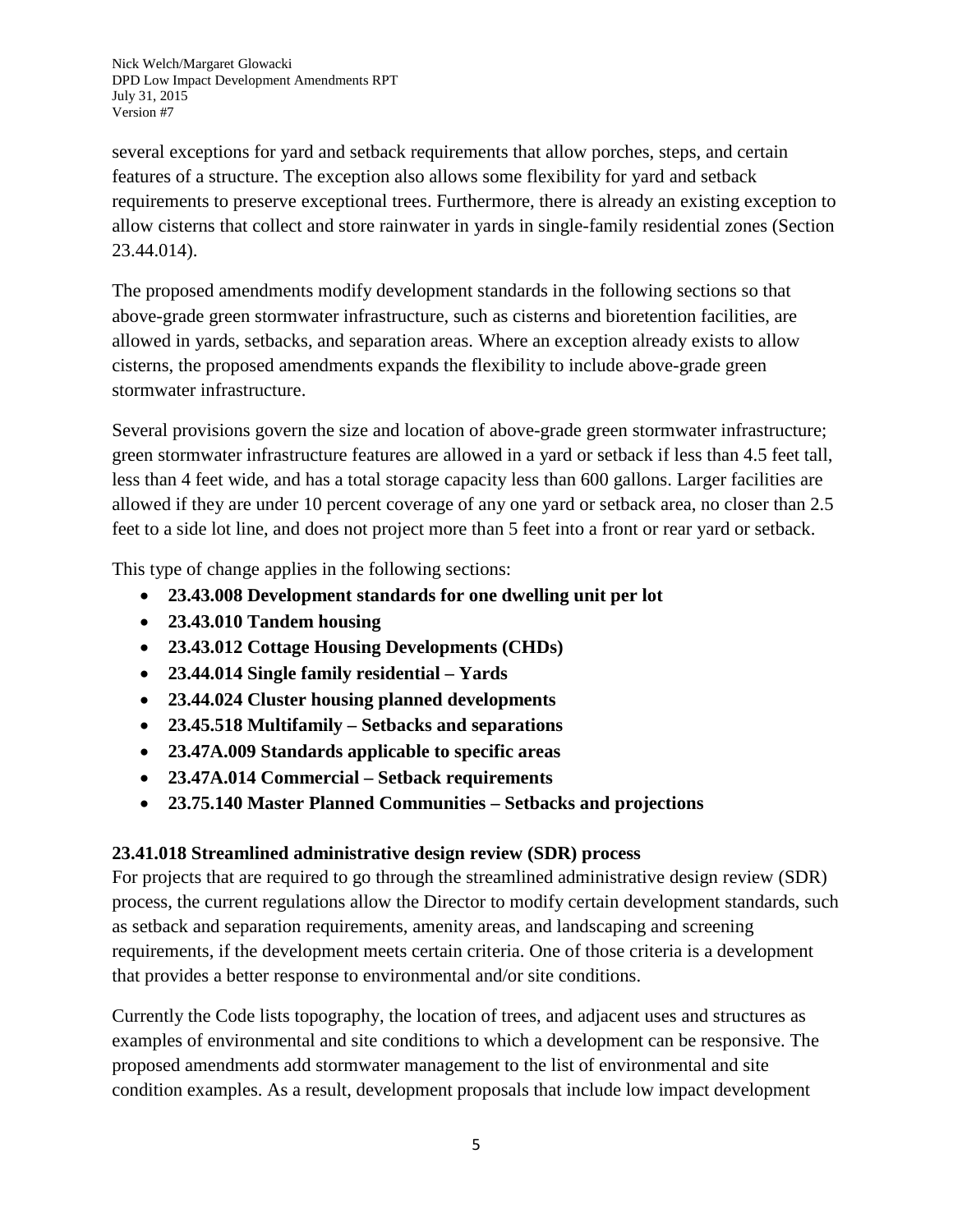several exceptions for yard and setback requirements that allow porches, steps, and certain features of a structure. The exception also allows some flexibility for yard and setback requirements to preserve exceptional trees. Furthermore, there is already an existing exception to allow cisterns that collect and store rainwater in yards in single-family residential zones (Section 23.44.014).

The proposed amendments modify development standards in the following sections so that above-grade green stormwater infrastructure, such as cisterns and bioretention facilities, are allowed in yards, setbacks, and separation areas. Where an exception already exists to allow cisterns, the proposed amendments expands the flexibility to include above-grade green stormwater infrastructure.

Several provisions govern the size and location of above-grade green stormwater infrastructure; green stormwater infrastructure features are allowed in a yard or setback if less than 4.5 feet tall, less than 4 feet wide, and has a total storage capacity less than 600 gallons. Larger facilities are allowed if they are under 10 percent coverage of any one yard or setback area, no closer than 2.5 feet to a side lot line, and does not project more than 5 feet into a front or rear yard or setback.

This type of change applies in the following sections:

- **23.43.008 Development standards for one dwelling unit per lot**
- **23.43.010 Tandem housing**
- **23.43.012 Cottage Housing Developments (CHDs)**
- **23.44.014 Single family residential – Yards**
- **23.44.024 Cluster housing planned developments**
- **23.45.518 Multifamily – Setbacks and separations**
- **23.47A.009 Standards applicable to specific areas**
- **23.47A.014 Commercial – Setback requirements**
- **23.75.140 Master Planned Communities – Setbacks and projections**

# **23.41.018 Streamlined administrative design review (SDR) process**

For projects that are required to go through the streamlined administrative design review (SDR) process, the current regulations allow the Director to modify certain development standards, such as setback and separation requirements, amenity areas, and landscaping and screening requirements, if the development meets certain criteria. One of those criteria is a development that provides a better response to environmental and/or site conditions.

Currently the Code lists topography, the location of trees, and adjacent uses and structures as examples of environmental and site conditions to which a development can be responsive. The proposed amendments add stormwater management to the list of environmental and site condition examples. As a result, development proposals that include low impact development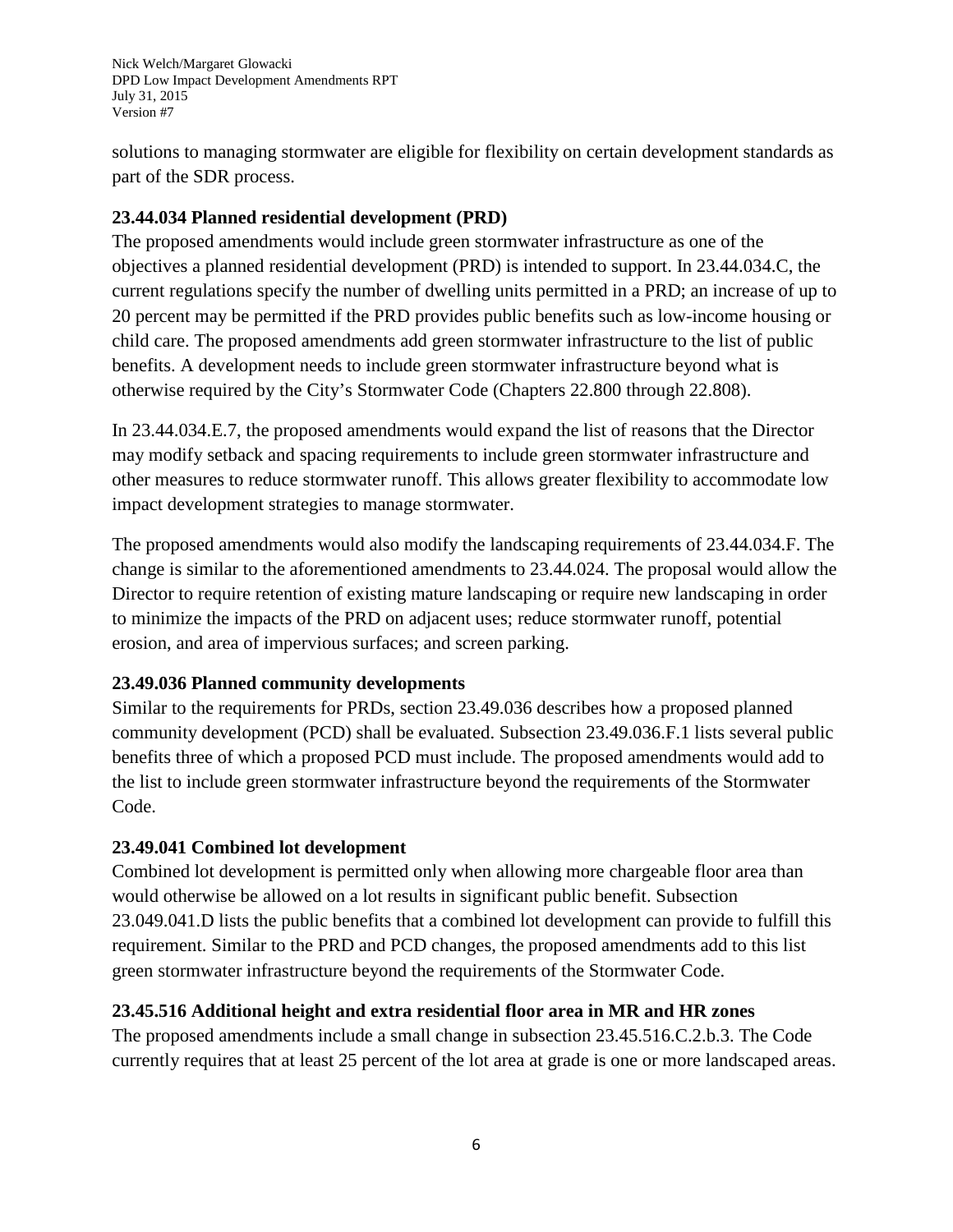solutions to managing stormwater are eligible for flexibility on certain development standards as part of the SDR process.

### **23.44.034 Planned residential development (PRD)**

The proposed amendments would include green stormwater infrastructure as one of the objectives a planned residential development (PRD) is intended to support. In 23.44.034.C, the current regulations specify the number of dwelling units permitted in a PRD; an increase of up to 20 percent may be permitted if the PRD provides public benefits such as low-income housing or child care. The proposed amendments add green stormwater infrastructure to the list of public benefits. A development needs to include green stormwater infrastructure beyond what is otherwise required by the City's Stormwater Code (Chapters 22.800 through 22.808).

In 23.44.034.E.7, the proposed amendments would expand the list of reasons that the Director may modify setback and spacing requirements to include green stormwater infrastructure and other measures to reduce stormwater runoff. This allows greater flexibility to accommodate low impact development strategies to manage stormwater.

The proposed amendments would also modify the landscaping requirements of 23.44.034.F. The change is similar to the aforementioned amendments to 23.44.024. The proposal would allow the Director to require retention of existing mature landscaping or require new landscaping in order to minimize the impacts of the PRD on adjacent uses; reduce stormwater runoff, potential erosion, and area of impervious surfaces; and screen parking.

#### **23.49.036 Planned community developments**

Similar to the requirements for PRDs, section 23.49.036 describes how a proposed planned community development (PCD) shall be evaluated. Subsection 23.49.036.F.1 lists several public benefits three of which a proposed PCD must include. The proposed amendments would add to the list to include green stormwater infrastructure beyond the requirements of the Stormwater Code.

# **23.49.041 Combined lot development**

Combined lot development is permitted only when allowing more chargeable floor area than would otherwise be allowed on a lot results in significant public benefit. Subsection 23.049.041.D lists the public benefits that a combined lot development can provide to fulfill this requirement. Similar to the PRD and PCD changes, the proposed amendments add to this list green stormwater infrastructure beyond the requirements of the Stormwater Code.

# **23.45.516 Additional height and extra residential floor area in MR and HR zones**

The proposed amendments include a small change in subsection 23.45.516.C.2.b.3. The Code currently requires that at least 25 percent of the lot area at grade is one or more landscaped areas.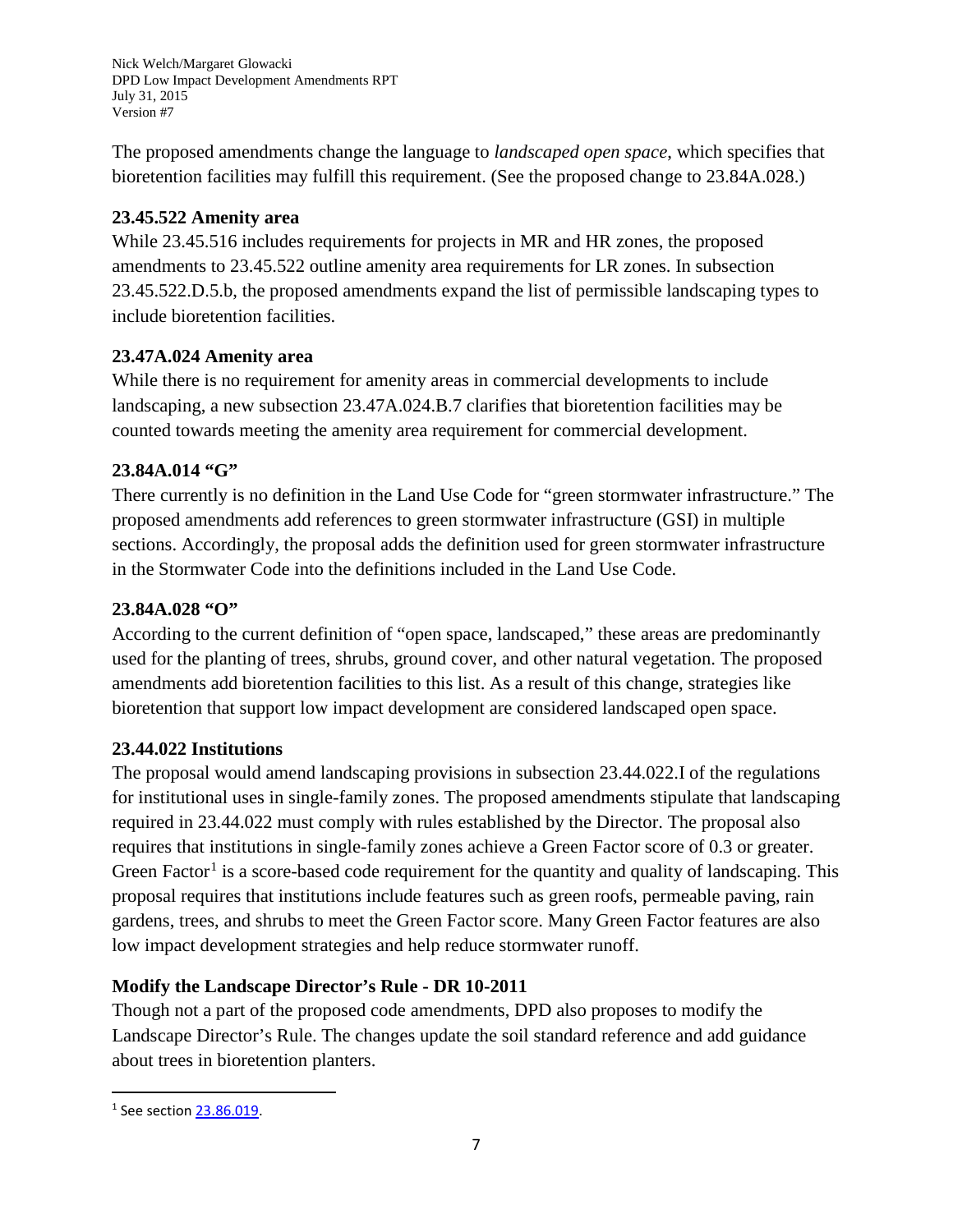The proposed amendments change the language to *landscaped open space*, which specifies that bioretention facilities may fulfill this requirement. (See the proposed change to 23.84A.028.)

### **23.45.522 Amenity area**

While 23.45.516 includes requirements for projects in MR and HR zones, the proposed amendments to 23.45.522 outline amenity area requirements for LR zones. In subsection 23.45.522.D.5.b, the proposed amendments expand the list of permissible landscaping types to include bioretention facilities.

# **23.47A.024 Amenity area**

While there is no requirement for amenity areas in commercial developments to include landscaping, a new subsection 23.47A.024.B.7 clarifies that bioretention facilities may be counted towards meeting the amenity area requirement for commercial development.

### **23.84A.014 "G"**

There currently is no definition in the Land Use Code for "green stormwater infrastructure." The proposed amendments add references to green stormwater infrastructure (GSI) in multiple sections. Accordingly, the proposal adds the definition used for green stormwater infrastructure in the Stormwater Code into the definitions included in the Land Use Code.

### **23.84A.028 "O"**

According to the current definition of "open space, landscaped," these areas are predominantly used for the planting of trees, shrubs, ground cover, and other natural vegetation. The proposed amendments add bioretention facilities to this list. As a result of this change, strategies like bioretention that support low impact development are considered landscaped open space.

#### **23.44.022 Institutions**

The proposal would amend landscaping provisions in subsection 23.44.022.I of the regulations for institutional uses in single-family zones. The proposed amendments stipulate that landscaping required in 23.44.022 must comply with rules established by the Director. The proposal also requires that institutions in single-family zones achieve a Green Factor score of 0.3 or greater. Green Factor<sup>[1](#page-6-0)</sup> is a score-based code requirement for the quantity and quality of landscaping. This proposal requires that institutions include features such as green roofs, permeable paving, rain gardens, trees, and shrubs to meet the Green Factor score. Many Green Factor features are also low impact development strategies and help reduce stormwater runoff.

#### **Modify the Landscape Director's Rule - DR 10-2011**

Though not a part of the proposed code amendments, DPD also proposes to modify the Landscape Director's Rule. The changes update the soil standard reference and add guidance about trees in bioretention planters.

l

<span id="page-6-0"></span><sup>&</sup>lt;sup>1</sup> See section [23.86.019.](https://www.municode.com/library/wa/seattle/codes/municipal_code?nodeId=TIT23LAUSCO_SUBTITLE_IVAD_DIV2GETE_CH23.86ME_23.86.019GRFAME)